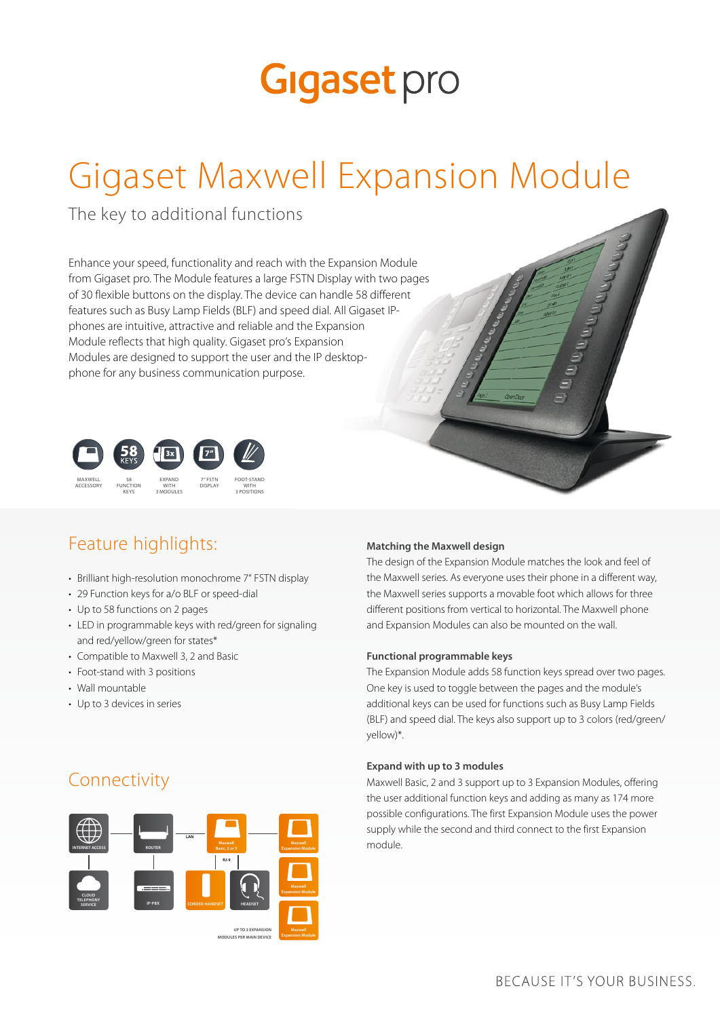## **Gigaset** pro

## Gigaset Maxwell Expansion Module

The key to additional functions

Enhance your speed, functionality and reach with the Expansion Module from Gigaset pro. The Module features a large FSTN Display with two pages of 30 flexible buttons on the display. The device can handle 58 different features such as Busy Lamp Fields (BLF) and speed dial. All Gigaset IPphones are intuitive, attractive and reliable and the Expansion Module reflects that high quality. Gigaset pro's Expansion Modules are designed to support the user and the IP desktopphone for any business communication purpose.



## Feature highlights:

- Brilliant high-resolution monochrome 7" FSTN display
- 29 Function keys for a/o BLF or speed-dial
- Up to 58 functions on 2 pages
- LED in programmable keys with red/green for signaling and red/yellow/green for states\*
- Compatible to Maxwell 3, 2 and Basic
- Foot-stand with 3 positions
- Wall mountable
- Up to 3 devices in series

#### **Matching the Maxwell design**

The design of the Expansion Module matches the look and feel of the Maxwell series. As everyone uses their phone in a different way, the Maxwell series supports a movable foot which allows for three different positions from vertical to horizontal. The Maxwell phone and Expansion Modules can also be mounted on the wall.

#### **Functional programmable keys**

The Expansion Module adds 58 function keys spread over two pages. One key is used to toggle between the pages and the module's additional keys can be used for functions such as Busy Lamp Fields (BLF) and speed dial. The keys also support up to 3 colors (red/green/ yellow)\*.

#### **Expand with up to 3 modules**

Maxwell Basic, 2 and 3 support up to 3 Expansion Modules, offering the user additional function keys and adding as many as 174 more possible configurations. The first Expansion Module uses the power supply while the second and third connect to the first Expansion module.

### Connectivity